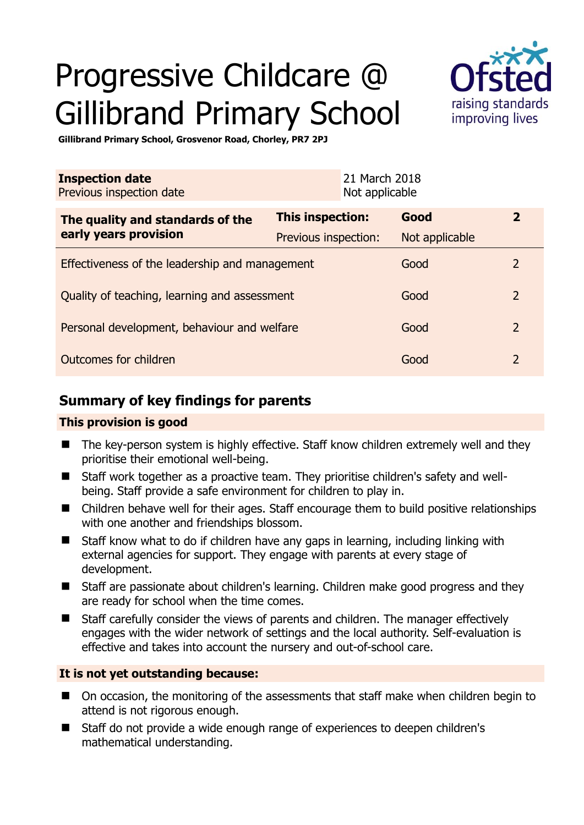# Progressive Childcare @ Gillibrand Primary School



**Gillibrand Primary School, Grosvenor Road, Chorley, PR7 2PJ** 

| <b>Inspection date</b><br>Previous inspection date |                         | 21 March 2018<br>Not applicable |                |                |
|----------------------------------------------------|-------------------------|---------------------------------|----------------|----------------|
| The quality and standards of the                   | <b>This inspection:</b> |                                 | Good           | $\mathbf{2}$   |
| early years provision                              | Previous inspection:    |                                 | Not applicable |                |
| Effectiveness of the leadership and management     |                         |                                 | Good           | 2              |
| Quality of teaching, learning and assessment       |                         |                                 | Good           | $\overline{2}$ |
| Personal development, behaviour and welfare        |                         |                                 | Good           | $\overline{2}$ |
| Outcomes for children                              |                         |                                 | Good           | 2              |

## **Summary of key findings for parents**

## **This provision is good**

- The key-person system is highly effective. Staff know children extremely well and they prioritise their emotional well-being.
- Staff work together as a proactive team. They prioritise children's safety and wellbeing. Staff provide a safe environment for children to play in.
- Children behave well for their ages. Staff encourage them to build positive relationships with one another and friendships blossom.
- Staff know what to do if children have any gaps in learning, including linking with external agencies for support. They engage with parents at every stage of development.
- Staff are passionate about children's learning. Children make good progress and they are ready for school when the time comes.
- Staff carefully consider the views of parents and children. The manager effectively engages with the wider network of settings and the local authority. Self-evaluation is effective and takes into account the nursery and out-of-school care.

## **It is not yet outstanding because:**

- On occasion, the monitoring of the assessments that staff make when children begin to attend is not rigorous enough.
- Staff do not provide a wide enough range of experiences to deepen children's mathematical understanding.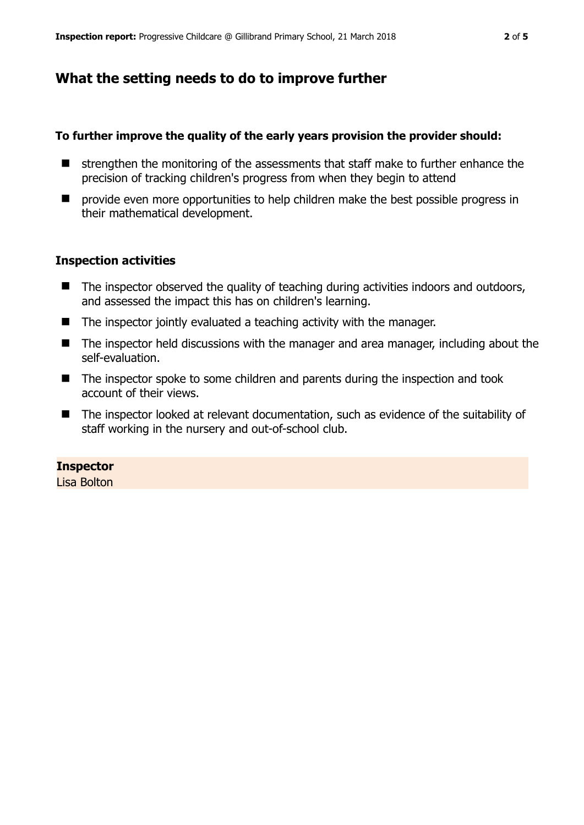## **What the setting needs to do to improve further**

#### **To further improve the quality of the early years provision the provider should:**

- $\blacksquare$  strengthen the monitoring of the assessments that staff make to further enhance the precision of tracking children's progress from when they begin to attend
- $\blacksquare$  provide even more opportunities to help children make the best possible progress in their mathematical development.

#### **Inspection activities**

- The inspector observed the quality of teaching during activities indoors and outdoors, and assessed the impact this has on children's learning.
- The inspector jointly evaluated a teaching activity with the manager.
- The inspector held discussions with the manager and area manager, including about the self-evaluation.
- The inspector spoke to some children and parents during the inspection and took account of their views.
- The inspector looked at relevant documentation, such as evidence of the suitability of staff working in the nursery and out-of-school club.

#### **Inspector**

Lisa Bolton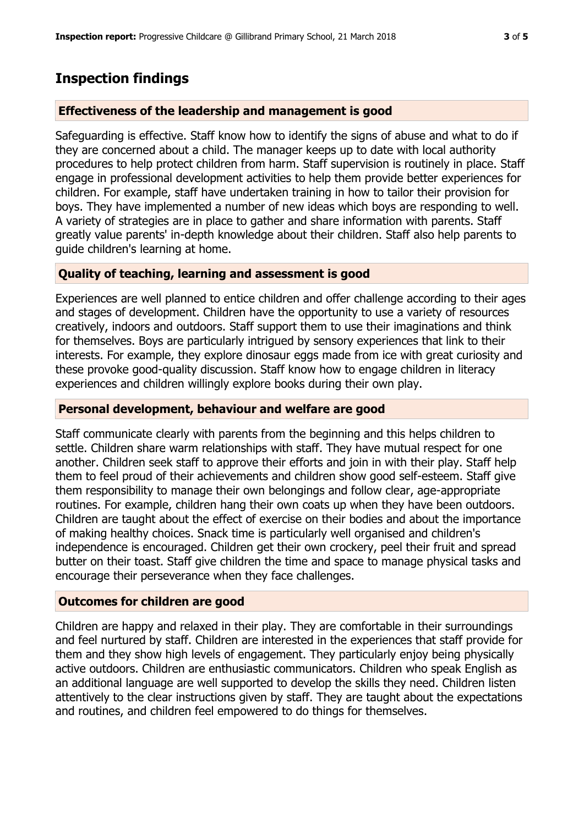## **Inspection findings**

#### **Effectiveness of the leadership and management is good**

Safeguarding is effective. Staff know how to identify the signs of abuse and what to do if they are concerned about a child. The manager keeps up to date with local authority procedures to help protect children from harm. Staff supervision is routinely in place. Staff engage in professional development activities to help them provide better experiences for children. For example, staff have undertaken training in how to tailor their provision for boys. They have implemented a number of new ideas which boys are responding to well. A variety of strategies are in place to gather and share information with parents. Staff greatly value parents' in-depth knowledge about their children. Staff also help parents to guide children's learning at home.

#### **Quality of teaching, learning and assessment is good**

Experiences are well planned to entice children and offer challenge according to their ages and stages of development. Children have the opportunity to use a variety of resources creatively, indoors and outdoors. Staff support them to use their imaginations and think for themselves. Boys are particularly intrigued by sensory experiences that link to their interests. For example, they explore dinosaur eggs made from ice with great curiosity and these provoke good-quality discussion. Staff know how to engage children in literacy experiences and children willingly explore books during their own play.

#### **Personal development, behaviour and welfare are good**

Staff communicate clearly with parents from the beginning and this helps children to settle. Children share warm relationships with staff. They have mutual respect for one another. Children seek staff to approve their efforts and join in with their play. Staff help them to feel proud of their achievements and children show good self-esteem. Staff give them responsibility to manage their own belongings and follow clear, age-appropriate routines. For example, children hang their own coats up when they have been outdoors. Children are taught about the effect of exercise on their bodies and about the importance of making healthy choices. Snack time is particularly well organised and children's independence is encouraged. Children get their own crockery, peel their fruit and spread butter on their toast. Staff give children the time and space to manage physical tasks and encourage their perseverance when they face challenges.

#### **Outcomes for children are good**

Children are happy and relaxed in their play. They are comfortable in their surroundings and feel nurtured by staff. Children are interested in the experiences that staff provide for them and they show high levels of engagement. They particularly enjoy being physically active outdoors. Children are enthusiastic communicators. Children who speak English as an additional language are well supported to develop the skills they need. Children listen attentively to the clear instructions given by staff. They are taught about the expectations and routines, and children feel empowered to do things for themselves.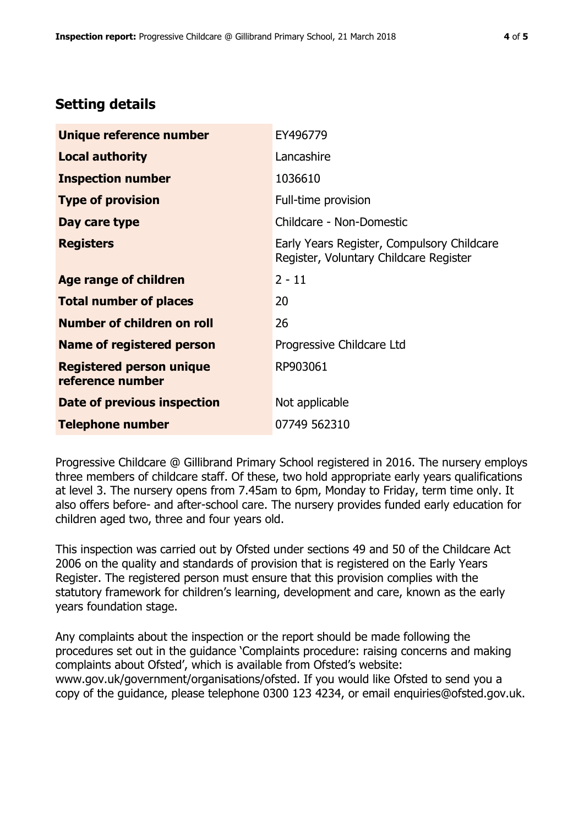# **Setting details**

| Unique reference number                             | EY496779                                                                             |  |
|-----------------------------------------------------|--------------------------------------------------------------------------------------|--|
| <b>Local authority</b>                              | Lancashire                                                                           |  |
| <b>Inspection number</b>                            | 1036610                                                                              |  |
| <b>Type of provision</b>                            | Full-time provision                                                                  |  |
| Day care type                                       | Childcare - Non-Domestic                                                             |  |
| <b>Registers</b>                                    | Early Years Register, Compulsory Childcare<br>Register, Voluntary Childcare Register |  |
| Age range of children                               | $2 - 11$                                                                             |  |
| <b>Total number of places</b>                       | 20                                                                                   |  |
| Number of children on roll                          | 26                                                                                   |  |
| Name of registered person                           | Progressive Childcare Ltd                                                            |  |
| <b>Registered person unique</b><br>reference number | RP903061                                                                             |  |
| Date of previous inspection                         | Not applicable                                                                       |  |
| <b>Telephone number</b>                             | 07749 562310                                                                         |  |

Progressive Childcare @ Gillibrand Primary School registered in 2016. The nursery employs three members of childcare staff. Of these, two hold appropriate early years qualifications at level 3. The nursery opens from 7.45am to 6pm, Monday to Friday, term time only. It also offers before- and after-school care. The nursery provides funded early education for children aged two, three and four years old.

This inspection was carried out by Ofsted under sections 49 and 50 of the Childcare Act 2006 on the quality and standards of provision that is registered on the Early Years Register. The registered person must ensure that this provision complies with the statutory framework for children's learning, development and care, known as the early years foundation stage.

Any complaints about the inspection or the report should be made following the procedures set out in the guidance 'Complaints procedure: raising concerns and making complaints about Ofsted', which is available from Ofsted's website: www.gov.uk/government/organisations/ofsted. If you would like Ofsted to send you a copy of the guidance, please telephone 0300 123 4234, or email enquiries@ofsted.gov.uk.